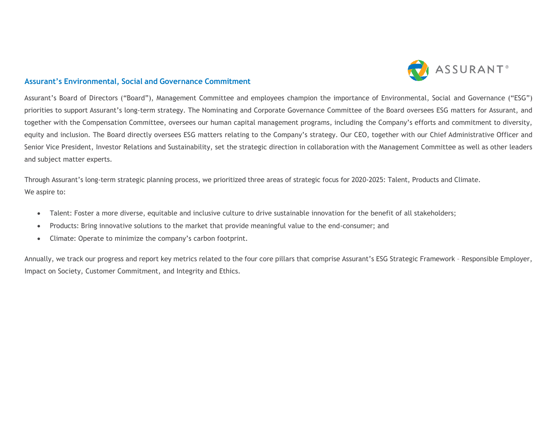

## **Assurant's Environmental, Social and Governance Commitment**

Assurant's Board of Directors ("Board"), Management Committee and employees champion the importance of Environmental, Social and Governance ("ESG") priorities to support Assurant's long-term strategy. The Nominating and Corporate Governance Committee of the Board oversees ESG matters for Assurant, and together with the Compensation Committee, oversees our human capital management programs, including the Company's efforts and commitment to diversity, equity and inclusion. The Board directly oversees ESG matters relating to the Company's strategy. Our CEO, together with our Chief Administrative Officer and Senior Vice President, Investor Relations and Sustainability, set the strategic direction in collaboration with the Management Committee as well as other leaders and subject matter experts.

Through Assurant's long-term strategic planning process, we prioritized three areas of strategic focus for 2020-2025: Talent, Products and Climate. We aspire to:

- Talent: Foster a more diverse, equitable and inclusive culture to drive sustainable innovation for the benefit of all stakeholders;
- Products: Bring innovative solutions to the market that provide meaningful value to the end-consumer; and
- Climate: Operate to minimize the company's carbon footprint.

Annually, we track our progress and report key metrics related to the four core pillars that comprise Assurant's ESG Strategic Framework – Responsible Employer, Impact on Society, Customer Commitment, and Integrity and Ethics.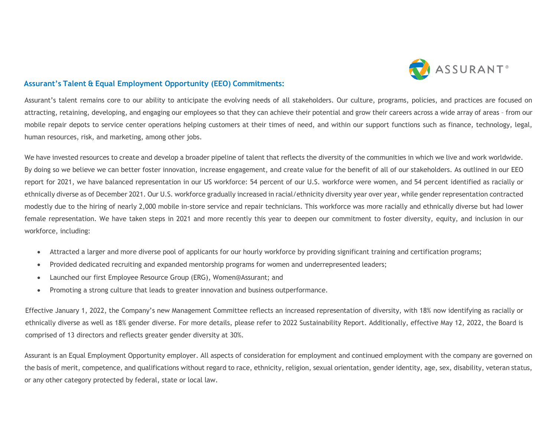

## **Assurant's Talent & Equal Employment Opportunity (EEO) Commitments:**

Assurant's talent remains core to our ability to anticipate the evolving needs of all stakeholders. Our culture, programs, policies, and practices are focused on attracting, retaining, developing, and engaging our employees so that they can achieve their potential and grow their careers across a wide array of areas – from our mobile repair depots to service center operations helping customers at their times of need, and within our support functions such as finance, technology, legal, human resources, risk, and marketing, among other jobs.

We have invested resources to create and develop a broader pipeline of talent that reflects the diversity of the communities in which we live and work worldwide. By doing so we believe we can better foster innovation, increase engagement, and create value for the benefit of all of our stakeholders. As outlined in our EEO report for 2021, we have balanced representation in our US workforce: 54 percent of our U.S. workforce were women, and 54 percent identified as racially or ethnically diverse as of December 2021. Our U.S. workforce gradually increased in racial/ethnicity diversity year over year, while gender representation contracted modestly due to the hiring of nearly 2,000 mobile in-store service and repair technicians. This workforce was more racially and ethnically diverse but had lower female representation. We have taken steps in 2021 and more recently this year to deepen our commitment to foster diversity, equity, and inclusion in our workforce, including:

- Attracted a larger and more diverse pool of applicants for our hourly workforce by providing significant training and certification programs;
- Provided dedicated recruiting and expanded mentorship programs for women and underrepresented leaders;
- Launched our first Employee Resource Group (ERG), Women@Assurant; and
- Promoting a strong culture that leads to greater innovation and business outperformance.

Effective January 1, 2022, the Company's new Management Committee reflects an increased representation of diversity, with 18% now identifying as racially or ethnically diverse as well as 18% gender diverse. For more details, please refer to 2022 Sustainability Report. Additionally, effective May 12, 2022, the Board is comprised of 13 directors and reflects greater gender diversity at 30%.

Assurant is an Equal Employment Opportunity employer. All aspects of consideration for employment and continued employment with the company are governed on the basis of merit, competence, and qualifications without regard to race, ethnicity, religion, sexual orientation, gender identity, age, sex, disability, veteran status, or any other category protected by federal, state or local law.